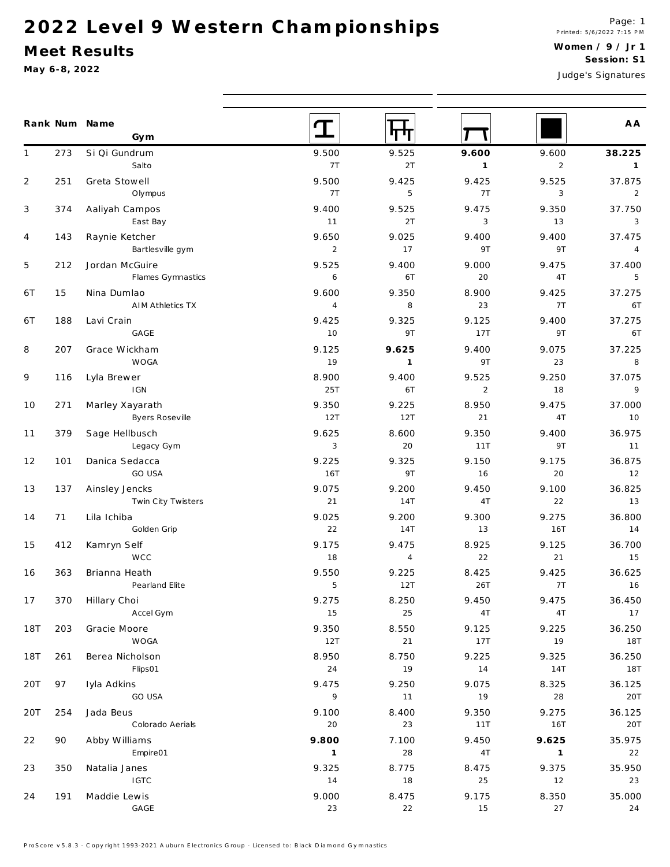## Meet Results

|                |     | Rank Num Name<br>Gym          |                         | पाग                   |                |                         | A A            |
|----------------|-----|-------------------------------|-------------------------|-----------------------|----------------|-------------------------|----------------|
| $\mathbf{1}$   | 273 | Si Qi Gundrum                 | 9.500                   | 9.525                 | 9.600          | 9.600                   | 38.225         |
|                |     | Salto                         | 7T                      | 2T                    | $\mathbf{1}$   | $\overline{2}$          | $\overline{1}$ |
| $\overline{2}$ | 251 | Greta Stowell                 | 9.500                   | 9.425                 | 9.425          | 9.525                   | 37.875         |
|                |     | Olympus                       | 7T                      | 5                     | 7T             | $\sqrt{3}$              | $\overline{2}$ |
| 3              | 374 | Aaliyah Campos                | 9.400                   | 9.525                 | 9.475          | 9.350                   | 37.750         |
|                |     | East Bay                      | 11                      | 2T                    | $\sqrt{3}$     | 13                      | $\mathbf{3}$   |
| 4              | 143 | Raynie Ketcher                | 9.650                   | 9.025                 | 9.400          | 9.400                   | 37.475         |
|                |     | Bartlesville gym              | $\overline{2}$          | 17                    | 9T             | 9T                      | $\overline{4}$ |
| 5              | 212 | Jordan McGuire                | 9.525                   | 9.400                 | 9.000          | 9.475                   | 37.400         |
|                |     | Flames Gymnastics             | 6                       | 6T                    | 20             | 4T                      | 5              |
| 6T             | 15  | Nina Dumlao                   | 9.600<br>$\overline{4}$ | 9.350<br>8            | 8.900<br>23    | 9.425<br>7T             | 37.275<br>6T   |
|                |     | <b>AIM Athletics TX</b>       |                         |                       |                |                         |                |
| 6T             | 188 | Lavi Crain<br>GAGE            | 9.425<br>10             | 9.325<br>9T           | 9.125<br>17T   | 9.400<br>9T             | 37.275<br>6T   |
|                |     |                               |                         |                       |                |                         |                |
| 8              | 207 | Grace Wickham<br>WOGA         | 9.125<br>19             | 9.625<br>$\mathbf{1}$ | 9.400<br>9T    | 9.075<br>23             | 37.225<br>8    |
| 9              | 116 | Lyla Brewer                   | 8.900                   | 9.400                 | 9.525          | 9.250                   | 37.075         |
|                |     | <b>IGN</b>                    | 25T                     | 6T                    | $\overline{2}$ | 18                      | 9              |
| 10             | 271 | Marley Xayarath               | 9.350                   | 9.225                 | 8.950          | 9.475                   | 37.000         |
|                |     | Byers Roseville               | 12T                     | 12T                   | 21             | 4T                      | 10             |
| 11             | 379 | Sage Hellbusch                | 9.625                   | 8.600                 | 9.350          | 9.400                   | 36.975         |
|                |     | Legacy Gym                    | $\mathbf{3}$            | 20                    | 11T            | 9T                      | 11             |
| 12             | 101 | Danica Sedacca                | 9.225                   | 9.325                 | 9.150          | 9.175                   | 36.875         |
|                |     | GO USA                        | 16T                     | 9T                    | 16             | 20                      | 12             |
| 13             | 137 | Ainsley Jencks                | 9.075                   | 9.200                 | 9.450          | 9.100                   | 36.825         |
|                |     | Twin City Twisters            | 21                      | 14T                   | 4T             | 22                      | 13             |
| 14             | 71  | Lila Ichiba                   | 9.025                   | 9.200                 | 9.300          | 9.275                   | 36.800         |
|                |     | Golden Grip                   | 22                      | 14T                   | 13             | 16T                     | 14             |
| 15             | 412 | Kamryn Self                   | 9.175                   | 9.475                 | 8.925          | 9.125                   | 36.700         |
|                |     | WCC                           | 18                      | $\overline{4}$        | 22             | 21                      | 15             |
| 16             | 363 | Brianna Heath                 | 9.550                   | 9.225                 | 8.425          | 9.425                   | 36.625         |
|                |     | Pearland Elite                | 5                       | 12T                   | 26T            | 7T                      | 16             |
| 17             | 370 | Hillary Choi                  | 9.275                   | 8.250                 | 9.450          | 9.475                   | 36.450         |
|                |     | Accel Gym                     | 15                      | 25                    | 4T             | 4T                      | 17             |
| 18T            | 203 | Gracie Moore                  | 9.350                   | 8.550                 | 9.125          | 9.225                   | 36.250         |
|                |     | WOGA                          | 12T                     | 21                    | 17T            | 19                      | <b>18T</b>     |
| 18T            | 261 | Berea Nicholson               | 8.950                   | 8.750                 | 9.225          | 9.325                   | 36.250         |
|                |     | Flips01                       | 24                      | 19                    | 14             | 14T                     | 18T            |
| 20T            | 97  | Iyla Adkins                   | 9.475                   | 9.250                 | 9.075          | 8.325                   | 36.125         |
|                |     | GO USA                        | 9                       | 11                    | 19             | 28                      | 20T            |
| 20T            | 254 | Jada Beus<br>Colorado Aerials | 9.100                   | 8.400                 | 9.350          | 9.275                   | 36.125         |
|                |     |                               | 20                      | 23                    | 11T            | 16T                     | 20T            |
| 22             | 90  | Abby Williams<br>Empire01     | 9.800<br>$\overline{1}$ | 7.100<br>28           | 9.450<br>4T    | 9.625<br>$\overline{1}$ | 35.975<br>22   |
| 23             | 350 | Natalia Janes                 | 9.325                   | 8.775                 |                | 9.375                   | 35.950         |
|                |     | <b>IGTC</b>                   | 14                      | 18                    | 8.475<br>25    | 12                      | 23             |
| 24             | 191 | Maddie Lewis                  | 9.000                   | 8.475                 | 9.175          | 8.350                   | 35.000         |
|                |     | GAGE                          | 23                      | 22                    | 15             | 27                      | 24             |
|                |     |                               |                         |                       |                |                         |                |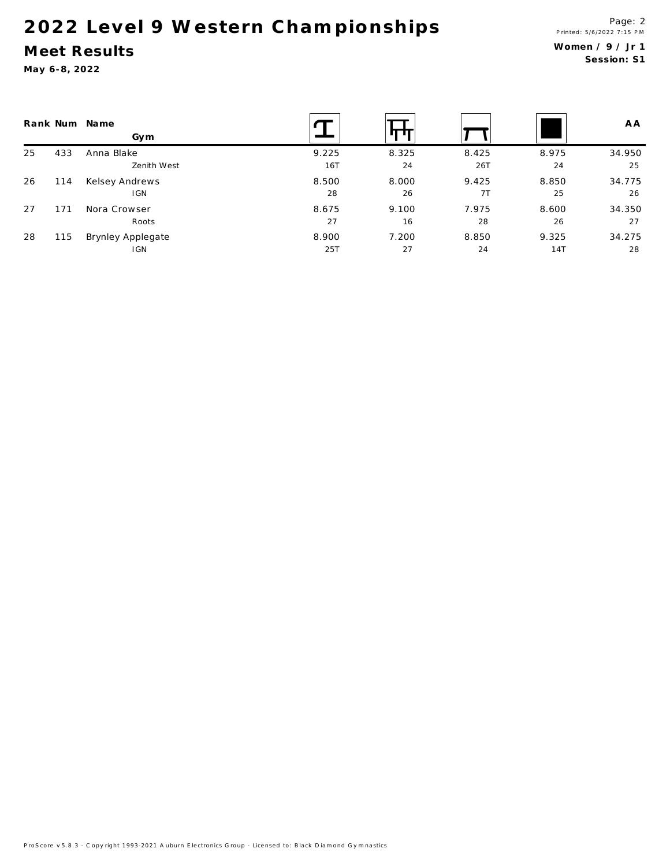#### Meet Results

May 6-8, 2022

|    |     | Rank Num Name<br>Gym |       |       |       |       | A A    |
|----|-----|----------------------|-------|-------|-------|-------|--------|
| 25 | 433 | Anna Blake           | 9.225 | 8.325 | 8.425 | 8.975 | 34.950 |
|    |     | Zenith West          | 16T   | 24    | 26T   | 24    | 25     |
| 26 | 114 | Kelsey Andrews       | 8.500 | 8.000 | 9.425 | 8.850 | 34.775 |
|    |     | IGN.                 | 28    | 26    | 7T    | 25    | 26     |
| 27 | 171 | Nora Crowser         | 8.675 | 9.100 | 7.975 | 8.600 | 34.350 |
|    |     | Roots                | 27    | 16    | 28    | 26    | 27     |
| 28 | 115 | Brynley Applegate    | 8.900 | 7.200 | 8.850 | 9.325 | 34.275 |
|    |     | <b>IGN</b>           | 25T   | 27    | 24    | 14T   | 28     |

ProScore v 5.8.3 - C opyright 1993-2021 A uburn Electronics Group - Licensed to: Black Diamond Gymnastics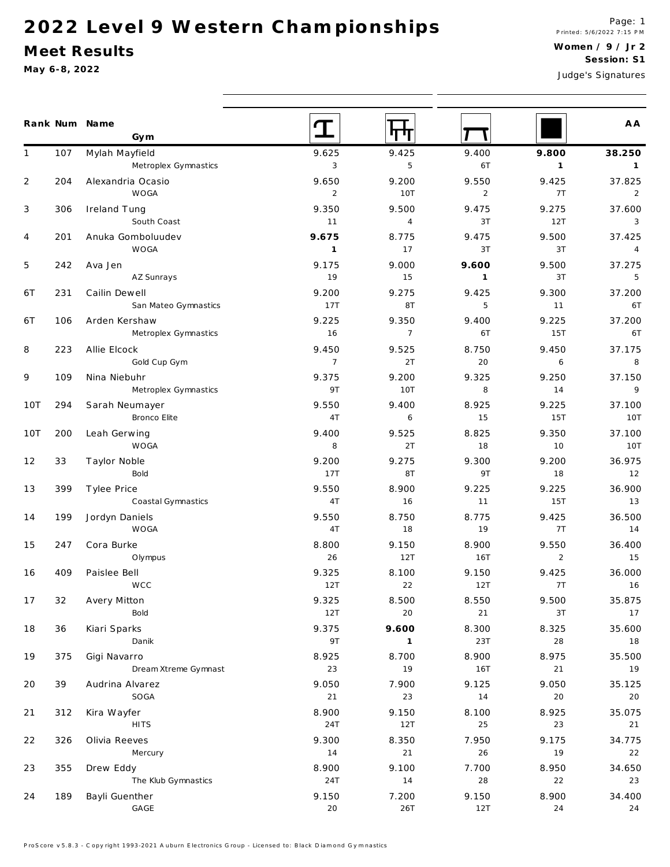## Meet Results

|              |     | Rank Num Name<br>Gym  |                | पाप            |                |                | A A            |
|--------------|-----|-----------------------|----------------|----------------|----------------|----------------|----------------|
| $\mathbf{1}$ | 107 | Mylah Mayfield        | 9.625          | 9.425          | 9.400          | 9.800          | 38.250         |
|              |     | Metroplex Gymnastics  | 3              | 5              | 6T             | $\mathbf{1}$   | $\overline{1}$ |
| 2            | 204 | Alexandria Ocasio     | 9.650          | 9.200          | 9.550          | 9.425          | 37.825         |
|              |     | WOGA                  | $\overline{2}$ | 10T            | $\overline{2}$ | 7T             | $\overline{2}$ |
| 3            | 306 | Ireland Tung          | 9.350          | 9.500          | 9.475          | 9.275          | 37.600         |
|              |     | South Coast           | 11             | $\overline{4}$ | 3T             | 12T            | 3              |
| 4            | 201 | Anuka Gomboluudev     | 9.675          | 8.775          | 9.475          | 9.500          | 37.425         |
|              |     | WOGA                  | $\mathbf{1}$   | 17             | 3T             | 3T             | $\overline{4}$ |
| 5            | 242 | Ava Jen               | 9.175          | 9.000          | 9.600          | 9.500          | 37.275         |
|              |     | AZ Sunrays            | 19             | 15             | $\mathbf{1}$   | 3T             | 5              |
| 6T           | 231 | Cailin Dewell         | 9.200          | 9.275          | 9.425          | 9.300          | 37.200         |
|              |     | San Mateo Gymnastics  | 17T            | 8T             | 5              | 11             | 6T             |
| 6 T          | 106 | Arden Kershaw         | 9.225          | 9.350          | 9.400          | 9.225          | 37.200         |
|              |     | Metroplex Gymnastics  | 16             | $\overline{7}$ | 6T             | 15T            | 6T             |
| 8            | 223 | Allie Elcock          | 9.450          | 9.525          | 8.750          | 9.450          | 37.175         |
|              |     | Gold Cup Gym          | $\overline{7}$ | 2T             | 20             | 6              | 8              |
| 9            | 109 | Nina Niebuhr          | 9.375          | 9.200          | 9.325          | 9.250          | 37.150         |
|              |     | Metroplex Gymnastics  | 9T             | <b>10T</b>     | 8              | 14             | 9              |
| 10T          | 294 | Sarah Neumayer        | 9.550          | 9.400          | 8.925          | 9.225          | 37.100         |
|              |     | Bronco Elite          | 4T             | 6              | 15             | <b>15T</b>     | <b>10T</b>     |
| 10T          | 200 | Leah Gerwing          | 9.400          | 9.525          | 8.825          | 9.350          | 37.100         |
|              |     | WOGA                  | 8              | 2T             | 18             | 10             | 10T            |
| 12           | 33  | Taylor Noble          | 9.200          | 9.275          | 9.300          | 9.200          | 36.975         |
|              |     | Bold                  | 17T            | 8T             | 9T             | 18             | 12             |
| 13           | 399 | Tylee Price           | 9.550          | 8.900          | 9.225          | 9.225          | 36.900         |
|              |     | Coastal Gymnastics    | 4T             | 16             | 11             | <b>15T</b>     | 13             |
| 14           | 199 | Jordyn Daniels        | 9.550          | 8.750          | 8.775          | 9.425          | 36.500         |
|              |     | WOGA                  | 4T             | 18             | 19             | 7T             | 14             |
| 15           | 247 | Cora Burke            | 8.800          | 9.150<br>12T   | 8.900<br>16T   | 9.550          | 36.400<br>15   |
|              |     | Olympus               | 26             |                |                | $\overline{2}$ |                |
| 16           | 409 | Paislee Bell<br>WCC   | 9.325<br>12T   | 8.100<br>22    | 9.150<br>12T   | 9.425<br>7T    | 36.000<br>16   |
|              |     |                       |                |                |                |                |                |
| 17           | 32  | Avery Mitton<br>Bold  | 9.325<br>12T   | 8.500<br>20    | 8.550<br>21    | 9.500<br>3T    | 35.875<br>17   |
|              |     |                       | 9.375          | 9.600          |                |                | 35.600         |
| 18           | 36  | Kiari Sparks<br>Danik | 9T             | $\overline{1}$ | 8.300<br>23T   | 8.325<br>28    | 18             |
|              |     | Gigi Navarro          |                |                |                |                |                |
| 19           | 375 | Dream Xtreme Gymnast  | 8.925<br>23    | 8.700<br>19    | 8.900<br>16T   | 8.975<br>21    | 35.500<br>19   |
| 20           | 39  | Audrina Alvarez       | 9.050          | 7.900          | 9.125          | 9.050          | 35.125         |
|              |     | SOGA                  | 21             | 23             | 14             | 20             | 20             |
| 21           | 312 | Kira Wayfer           | 8.900          | 9.150          | 8.100          | 8.925          | 35.075         |
|              |     | <b>HITS</b>           | 24T            | 12T            | 25             | 23             | 21             |
| 22           | 326 | Olivia Reeves         | 9.300          | 8.350          | 7.950          | 9.175          | 34.775         |
|              |     | Mercury               | 14             | 21             | 26             | 19             | 22             |
| 23           | 355 | Drew Eddy             | 8.900          | 9.100          | 7.700          | 8.950          | 34.650         |
|              |     | The Klub Gymnastics   | 24T            | 14             | 28             | 22             | 23             |
| 24           | 189 | Bayli Guenther        | 9.150          | 7.200          | 9.150          | 8.900          | 34.400         |
|              |     | GAGE                  | 20             | 26T            | 12T            | 24             | 24             |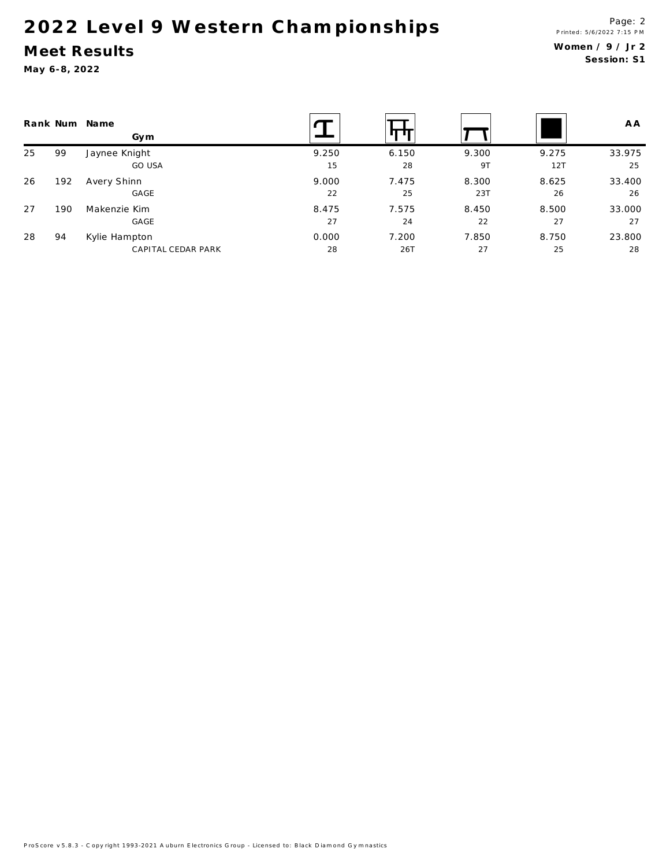#### Meet Results

|    |     | Rank Num Name<br>Gym |       |       |       |       | A A    |
|----|-----|----------------------|-------|-------|-------|-------|--------|
| 25 | 99  | Jaynee Knight        | 9.250 | 6.150 | 9.300 | 9.275 | 33.975 |
|    |     | <b>GO USA</b>        | 15    | 28    | 9T    | 12T   | 25     |
| 26 | 192 | Avery Shinn          | 9.000 | 7.475 | 8.300 | 8.625 | 33.400 |
|    |     | GAGE                 | 22    | 25    | 23T   | 26    | 26     |
| 27 | 190 | Makenzie Kim         | 8.475 | 7.575 | 8.450 | 8.500 | 33.000 |
|    |     | GAGE                 | 27    | 24    | 22    | 27    | 27     |
| 28 | 94  | Kylie Hampton        | 0.000 | 7.200 | 7.850 | 8.750 | 23.800 |
|    |     | CAPITAL CEDAR PARK   | 28    | 26T   | 27    | 25    | 28     |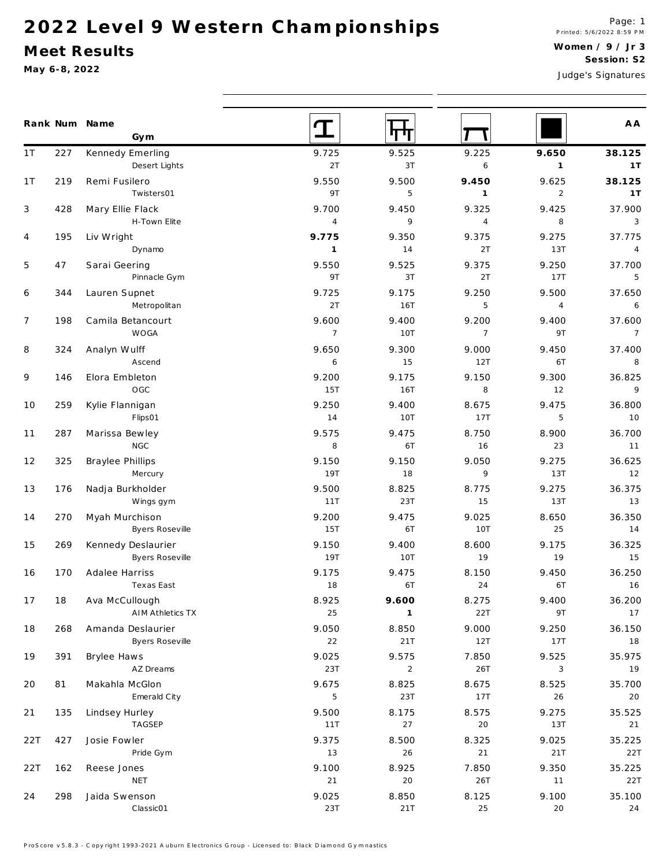## Meet Results

May 6-8, 2022

Page: 1 Printed: 5/6/2022 8:59 PM Women / 9 / Jr 3 Session: S2 Judge's Signatures

|                |     | Rank Num Name<br>Gym                         |                         |                     |                         |                | A A            |
|----------------|-----|----------------------------------------------|-------------------------|---------------------|-------------------------|----------------|----------------|
| 1T             | 227 | Kennedy Emerling                             | 9.725                   | 9.525               | 9.225                   | 9.650          | 38.125         |
|                |     | Desert Lights                                | 2T                      | 3T                  | 6                       | $\mathbf{1}$   | 1T             |
| 1T             | 219 | Remi Fusilero                                | 9.550                   | 9.500               | 9.450                   | 9.625          | 38.125         |
|                |     | Twisters01                                   | 9T                      | $\overline{5}$      | $\mathbf{1}$            | $\overline{2}$ | 1T             |
| 3              | 428 | Mary Ellie Flack<br>H-Town Elite             | 9.700<br>$\overline{4}$ | 9.450<br>9          | 9.325<br>$\overline{4}$ | 9.425<br>8     | 37.900<br>3    |
| 4              | 195 | Liv Wright                                   | 9.775                   | 9.350               | 9.375                   | 9.275          | 37.775         |
|                |     | Dynamo                                       | $\mathbf{1}$            | 14                  | 2T                      | 13T            | 4              |
| 5              | 47  | Sarai Geering                                | 9.550                   | 9.525               | 9.375                   | 9.250          | 37.700         |
|                |     | Pinnacle Gym                                 | 9T                      | 3T                  | 2T                      | 17T            | 5              |
| 6              | 344 | Lauren Supnet                                | 9.725                   | 9.175               | 9.250                   | 9.500          | 37.650         |
|                |     | Metropolitan                                 | 2T                      | 16T                 | 5                       | $\overline{4}$ | 6              |
| $\overline{7}$ | 198 | Camila Betancourt                            | 9.600                   | 9.400               | 9.200                   | 9.400          | 37.600         |
|                |     | WOGA                                         | $\overline{7}$          | <b>10T</b>          | $\overline{7}$          | 9T             | $\overline{7}$ |
| 8              | 324 | Analyn Wulff                                 | 9.650                   | 9.300               | 9.000                   | 9.450          | 37.400         |
|                |     | Ascend                                       | 6                       | 15                  | 12T                     | 6T             | 8              |
| 9              | 146 | Elora Embleton                               | 9.200                   | 9.175               | 9.150                   | 9.300          | 36.825         |
|                |     | $O \, GC$                                    | <b>15T</b>              | <b>16T</b>          | 8                       | 12             | 9              |
| 10             | 259 | Kylie Flannigan                              | 9.250                   | 9.400               | 8.675                   | 9.475          | 36.800         |
|                |     | Flips01                                      | 14                      | <b>10T</b>          | 17T                     | 5              | 10             |
| 11             | 287 | Marissa Bewley                               | 9.575                   | 9.475               | 8.750                   | 8.900          | 36.700         |
|                |     | <b>NGC</b>                                   | 8                       | 6T                  | 16                      | 23             | 11             |
| 12             | 325 | Braylee Phillips                             | 9.150                   | 9.150               | 9.050                   | 9.275          | 36.625         |
|                |     | Mercury                                      | 19T                     | 18                  | 9                       | 13T            | 12             |
| 13             | 176 | Nadja Burkholder                             | 9.500                   | 8.825               | 8.775                   | 9.275          | 36.375         |
|                |     | Wings gym                                    | 11T                     | 23T                 | 15                      | 13T            | 13             |
| 14             | 270 | Myah Murchison<br><b>Byers Roseville</b>     | 9.200<br>15T            | 9.475<br>6T         | 9.025<br><b>10T</b>     | 8.650<br>25    | 36.350<br>14   |
|                |     |                                              |                         |                     |                         |                |                |
| 15             | 269 | Kennedy Deslaurier<br><b>Byers Roseville</b> | 9.150<br>19T            | 9.400<br><b>10T</b> | 8.600<br>19             | 9.175<br>19    | 36.325<br>15   |
| 16             | 170 | Adalee Harriss                               | 9.175                   | 9.475               | 8.150                   | 9.450          | 36.250         |
|                |     | Texas East                                   | 18                      | 6T                  | 24                      | 6T             | 16             |
| 17             | 18  | Ava McCullough                               | 8.925                   | 9.600               | 8.275                   | 9.400          | 36.200         |
|                |     | <b>AIM Athletics TX</b>                      | 25                      | $\mathbf{1}$        | 22T                     | 9T             | 17             |
| 18             | 268 | Amanda Deslaurier                            | 9.050                   | 8.850               | 9.000                   | 9.250          | 36.150         |
|                |     | <b>Byers Roseville</b>                       | 22                      | 21T                 | 12T                     | 17T            | 18             |
| 19             | 391 | Brylee Haws                                  | 9.025                   | 9.575               | 7.850                   | 9.525          | 35.975         |
|                |     | AZ Dreams                                    | 23T                     | $\overline{2}$      | 26T                     | 3              | 19             |
| 20             | 81  | Makahla McGlon                               | 9.675                   | 8.825               | 8.675                   | 8.525          | 35.700         |
|                |     | Emerald City                                 | 5                       | 23T                 | 17T                     | 26             | 20             |
| 21             | 135 | Lindsey Hurley                               | 9.500                   | 8.175               | 8.575                   | 9.275          | 35.525         |
|                |     | TAGSEP                                       | 11T                     | 27                  | $20\,$                  | 13T            | 21             |
| 22T            | 427 | Josie Fowler                                 | 9.375                   | 8.500               | 8.325                   | 9.025          | 35.225         |
|                |     | Pride Gym                                    | 13                      | $26\,$              | 21                      | 21T            | 22T            |
| 22T            | 162 | Reese Jones                                  | 9.100                   | 8.925               | 7.850                   | 9.350          | 35.225         |
|                |     | <b>NET</b>                                   | 21                      | $20$                | 26T                     | 11             | 22T            |
| 24             | 298 | Jaida Swenson                                | 9.025                   | 8.850               | 8.125                   | 9.100          | 35.100         |
|                |     | Classic01                                    | 23T                     | 21T                 | 25                      | 20             | 24             |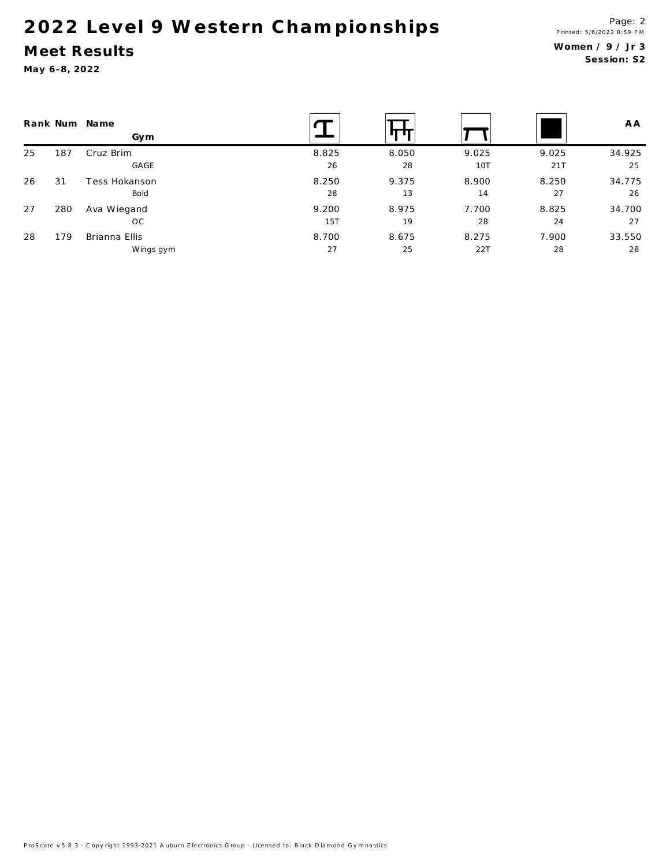#### Meet Results

|    | Rank Num | Name<br>Gym   |       |       |       |       | A A    |
|----|----------|---------------|-------|-------|-------|-------|--------|
| 25 | 187      | Cruz Brim     | 8.825 | 8.050 | 9.025 | 9.025 | 34.925 |
|    |          | GAGE          | 26    | 28    | 10T   | 21T   | 25     |
| 26 | 31       | Tess Hokanson | 8.250 | 9.375 | 8.900 | 8.250 | 34.775 |
|    |          | Bold          | 28    | 13    | 14    | 27    | 26     |
| 27 | 280      | Ava Wiegand   | 9.200 | 8.975 | 7.700 | 8.825 | 34.700 |
|    |          | ОC            | 15T   | 19    | 28    | 24    | 27     |
| 28 | 179      | Brianna Ellis | 8.700 | 8.675 | 8.275 | 7.900 | 33.550 |
|    |          | Wings gym     | 27    | 25    | 22T   | 28    | 28     |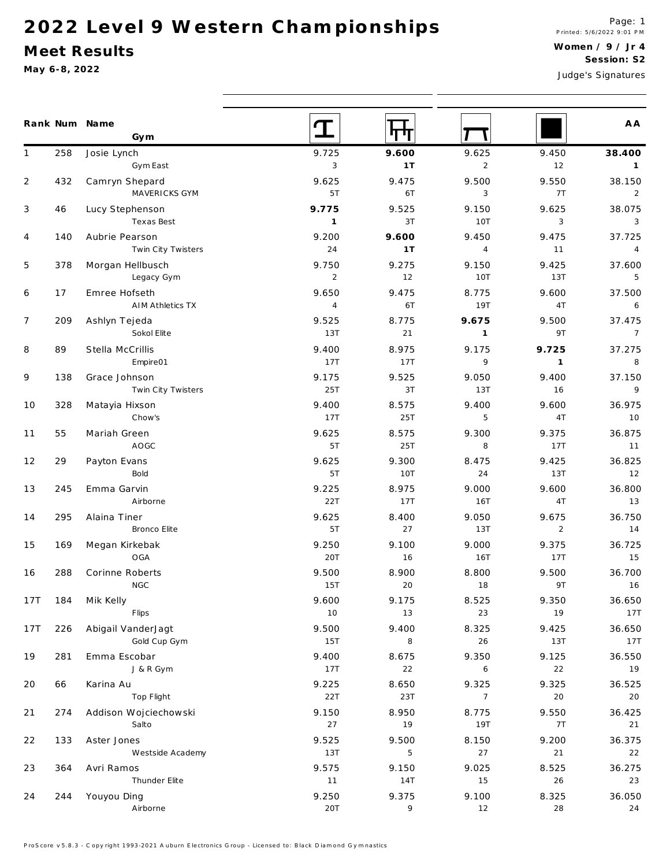### Meet Results

|                |     | Rank Num Name<br>Gym                     |                         | पग           |                 |                         | A A            |
|----------------|-----|------------------------------------------|-------------------------|--------------|-----------------|-------------------------|----------------|
| $\mathbf{1}$   | 258 | Josie Lynch                              | 9.725                   | 9.600        | 9.625           | 9.450                   | 38.400         |
|                |     | Gym East                                 | $\mathbf{3}$            | 1T           | $\overline{2}$  | 12                      | $\overline{1}$ |
| $\overline{2}$ | 432 | Camryn Shepard                           | 9.625                   | 9.475        | 9.500           | 9.550                   | 38.150         |
|                |     | MAVERICKS GYM                            | 5T                      | 6T           | $\mathbf{3}$    | 7T                      | $\overline{2}$ |
| 3              | 46  | Lucy Stephenson                          | 9.775                   | 9.525        | 9.150           | 9.625                   | 38.075         |
|                |     | Texas Best                               | $\mathbf{1}$            | 3T           | <b>10T</b>      | 3                       | 3              |
| 4              | 140 | Aubrie Pearson                           | 9.200                   | 9.600        | 9.450           | 9.475                   | 37.725         |
|                |     | Twin City Twisters                       | 24                      | 1T           | $\overline{4}$  | 11                      | $\overline{4}$ |
| 5              | 378 | Morgan Hellbusch                         | 9.750<br>$\overline{2}$ | 9.275<br>12  | 9.150<br>10T    | 9.425<br>13T            | 37.600<br>5    |
|                |     | Legacy Gym                               |                         |              |                 |                         |                |
| 6              | 17  | Emree Hofseth<br><b>AIM Athletics TX</b> | 9.650<br>$\overline{4}$ | 9.475<br>6T  | 8.775<br>19T    | 9.600<br>4T             | 37.500<br>6    |
| $\overline{7}$ | 209 | Ashlyn Tejeda                            | 9.525                   | 8.775        | 9.675           | 9.500                   | 37.475         |
|                |     | Sokol Elite                              | 13T                     | 21           | $\mathbf{1}$    | 9T                      | $\overline{7}$ |
| 8              | 89  | Stella McCrillis                         | 9.400                   | 8.975        | 9.175           | 9.725                   | 37.275         |
|                |     | Empire01                                 | 17T                     | 17T          | 9               | $\mathbf{1}$            | 8              |
| 9              | 138 | Grace Johnson                            | 9.175                   | 9.525        | 9.050           | 9.400                   | 37.150         |
|                |     | Twin City Twisters                       | <b>25T</b>              | 3T           | 13T             | 16                      | $\overline{9}$ |
| 10             | 328 | Matayia Hixson                           | 9.400                   | 8.575        | 9.400           | 9.600                   | 36.975         |
|                |     | Chow's                                   | 17T                     | 25T          | 5               | 4T                      | 10             |
| 11             | 55  | Mariah Green                             | 9.625                   | 8.575        | 9.300           | 9.375                   | 36.875         |
|                |     | AOGC                                     | 5T                      | <b>25T</b>   | 8               | 17T                     | 11             |
| 12             | 29  | Payton Evans                             | 9.625                   | 9.300        | 8.475           | 9.425                   | 36.825         |
|                |     | <b>Bold</b>                              | 5T                      | <b>10T</b>   | 24              | 13T                     | 12             |
| 13             | 245 | Emma Garvin                              | 9.225                   | 8.975        | 9.000           | 9.600                   | 36.800         |
|                |     | Airborne                                 | 22T                     | 17T          | 16T             | 4T                      | 13             |
| 14             | 295 | Alaina Tiner<br>Bronco Elite             | 9.625<br>5T             | 8.400<br>27  | 9.050<br>13T    | 9.675<br>$\overline{2}$ | 36.750<br>14   |
|                |     |                                          | 9.250                   | 9.100        | 9.000           | 9.375                   | 36.725         |
| 15             | 169 | Megan Kirkebak<br>OGA                    | <b>20T</b>              | 16           | 16T             | 17T                     | 15             |
| 16             | 288 | Corinne Roberts                          | 9.500                   | 8.900        | 8.800           | 9.500                   | 36.700         |
|                |     | <b>NGC</b>                               | <b>15T</b>              | 20           | 18              | 9T                      | 16             |
| 17T            | 184 | Mik Kelly                                | 9.600                   | 9.175        | 8.525           | 9.350                   | 36.650         |
|                |     | Flips                                    | 10                      | 13           | 23              | 19                      | 17T            |
| 17T            | 226 | Abigail VanderJagt                       | 9.500                   | 9.400        | 8.325           | 9.425                   | 36.650         |
|                |     | Gold Cup Gym                             | <b>15T</b>              | 8            | 26              | 13T                     | 17T            |
| 19             | 281 | Emma Escobar                             | 9.400                   | 8.675        | 9.350           | 9.125                   | 36.550         |
|                |     | J & R Gym                                | 17T                     | 22           | 6               | 22                      | 19             |
| 20             | 66  | Karina Au                                | 9.225                   | 8.650        | 9.325           | 9.325                   | 36.525         |
|                |     | Top Flight                               | 22T                     | 23T          | $7\overline{ }$ | 20                      | 20             |
| 21             | 274 | Addison Wojciechowski                    | 9.150                   | 8.950        | 8.775           | 9.550                   | 36.425         |
|                |     | Salto                                    | 27                      | 19           | 19T             | 7T                      | 21             |
| 22             | 133 | Aster Jones                              | 9.525                   | 9.500<br>5   | 8.150           | 9.200                   | 36.375         |
|                |     | Westside Academy                         | 13T                     |              | 27              | 21                      | 22             |
| 23             | 364 | Avri Ramos<br>Thunder Elite              | 9.575<br>11             | 9.150<br>14T | 9.025<br>15     | 8.525<br>26             | 36.275<br>23   |
| 24             | 244 | Youyou Ding                              | 9.250                   | 9.375        | 9.100           | 8.325                   | 36.050         |
|                |     | Airborne                                 | 20T                     | 9            | 12              | 28                      | 24             |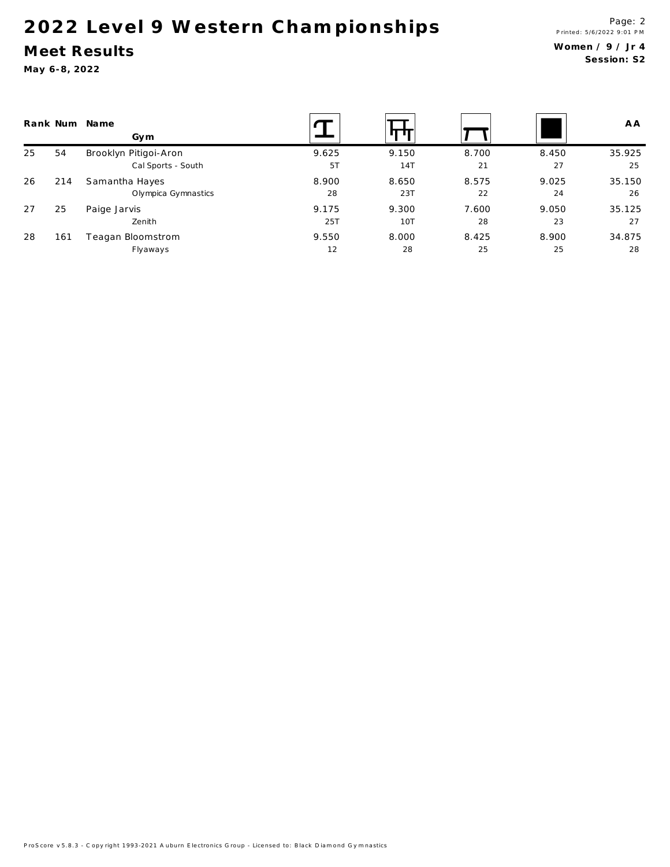## **2 0 2 2 Le v e l 9 W e ste rn C h a m p io n sh ip s**

#### **M eet Results**

|    |     | Rank Num Name         |       |       |       |       | A A    |
|----|-----|-----------------------|-------|-------|-------|-------|--------|
|    |     | Gym                   |       |       |       |       |        |
| 25 | 54  | Brooklyn Pitigoi-Aron | 9.625 | 9.150 | 8.700 | 8.450 | 35.925 |
|    |     | Cal Sports - South    | 5T    | 14T   | 21    | 27    | 25     |
| 26 | 214 | Samantha Hayes        | 8.900 | 8.650 | 8.575 | 9.025 | 35.150 |
|    |     | Olympica Gymnastics   | 28    | 23T   | 22    | 24    | 26     |
| 27 | 25  | Paige Jarvis          | 9.175 | 9.300 | 7.600 | 9.050 | 35.125 |
|    |     | Zenith                | 25T   | 10T   | 28    | 23    | 27     |
| 28 | 161 | Teagan Bloomstrom     | 9.550 | 8.000 | 8.425 | 8.900 | 34.875 |
|    |     | Flyaways              | 12    | 28    | 25    | 25    | 28     |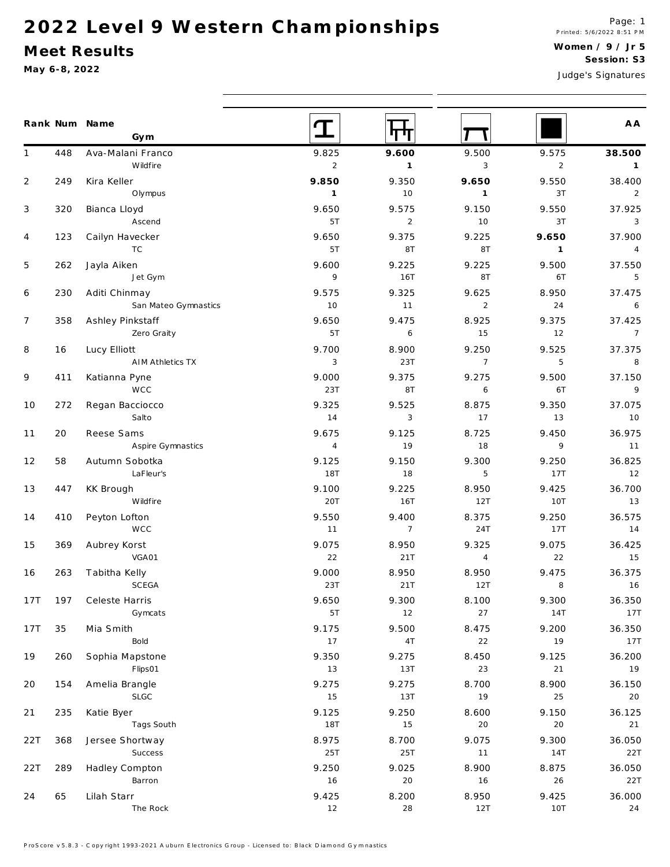# **2 0 2 2 Le v e l 9 W e ste rn C h a m p io n sh ip s**

## **M eet Results**

**Ma y 6-8, 2022**

Judge's S ignatures Page: 1 P rin te d : 5 /6 /2 0 2 2 8 :5 1 P M **W ome n / 9 / Jr 5 Se ssion: S3**

|                |     | Rank Num Name<br>Gym    |                         |                         |                         |                | A A                      |
|----------------|-----|-------------------------|-------------------------|-------------------------|-------------------------|----------------|--------------------------|
| $\mathbf{1}$   | 448 | Ava-Malani Franco       | 9.825                   | 9.600                   | 9.500                   | 9.575          | 38.500                   |
|                |     | Wildfire                | $\overline{2}$          | $\overline{1}$          | $\mathbf{3}$            | $\overline{2}$ | $\overline{1}$           |
| 2              | 249 | Kira Keller<br>Olympus  | 9.850<br>$\overline{1}$ | 9.350<br>10             | 9.650<br>$\overline{1}$ | 9.550<br>3T    | 38.400<br>$\overline{2}$ |
|                |     |                         |                         |                         | 9.150                   |                |                          |
| 3              | 320 | Bianca Lloyd<br>Ascend  | 9.650<br>5T             | 9.575<br>$\overline{2}$ | 10                      | 9.550<br>3T    | 37.925<br>3              |
| 4              | 123 | Cailyn Havecker         | 9.650                   | 9.375                   | 9.225                   | 9.650          | 37.900                   |
|                |     | TC                      | 5T                      | 8T                      | 8T                      | $\mathbf{1}$   | 4                        |
| 5              | 262 | Jayla Aiken             | 9.600                   | 9.225                   | 9.225                   | 9.500          | 37.550                   |
|                |     | Jet Gym                 | 9                       | 16T                     | 8T                      | 6T             | 5                        |
| 6              | 230 | Aditi Chinmay           | 9.575                   | 9.325                   | 9.625                   | 8.950          | 37.475                   |
|                |     | San Mateo Gymnastics    | 10                      | 11                      | 2                       | 24             | 6                        |
| $\overline{7}$ | 358 | Ashley Pinkstaff        | 9.650                   | 9.475                   | 8.925                   | 9.375          | 37.425                   |
|                |     | Zero Graity             | 5T                      | 6                       | 15                      | 12             | $\overline{7}$           |
| 8              | 16  | Lucy Elliott            | 9.700                   | 8.900                   | 9.250                   | 9.525          | 37.375                   |
|                |     | <b>AIM Athletics TX</b> | 3                       | 23T                     | $\overline{7}$          | 5              | 8                        |
| 9              | 411 | Katianna Pyne           | 9.000                   | 9.375                   | 9.275                   | 9.500          | 37.150                   |
|                |     | WCC                     | 23T                     | 8T                      | 6                       | 6T             | 9                        |
| 10             | 272 | Regan Bacciocco         | 9.325                   | 9.525                   | 8.875                   | 9.350          | 37.075                   |
|                |     | Salto                   | 14                      | 3                       | 17                      | 13             | 10                       |
| 11             | 20  | Reese Sams              | 9.675                   | 9.125                   | 8.725                   | 9.450          | 36.975                   |
|                |     | Aspire Gymnastics       | $\overline{4}$          | 19                      | 18                      | 9              | 11                       |
| 12             | 58  | Autumn Sobotka          | 9.125                   | 9.150                   | 9.300                   | 9.250          | 36.825                   |
|                |     | LaFleur's               | <b>18T</b>              | 18                      | 5                       | 17T            | 12                       |
| 13             | 447 | KK Brough               | 9.100                   | 9.225                   | 8.950                   | 9.425          | 36.700                   |
|                |     | Wildfire                | 20T                     | 16T                     | 12T                     | <b>10T</b>     | 13                       |
| 14             | 410 | Peyton Lofton           | 9.550                   | 9.400                   | 8.375                   | 9.250          | 36.575                   |
|                |     | WCC                     | 11                      | $\overline{7}$          | 24T                     | 17T            | 14                       |
| 15             | 369 | Aubrey Korst<br>VGA01   | 9.075<br>22             | 8.950<br>21T            | 9.325<br>$\overline{4}$ | 9.075<br>22    | 36.425<br>15             |
|                |     |                         |                         | 8.950                   | 8.950                   | 9.475          | 36.375                   |
| 16             | 263 | Tabitha Kelly<br>SCEGA  | 9.000<br>23T            | 21T                     | 12T                     | 8              | 16                       |
| 17T            | 197 | Celeste Harris          | 9.650                   | 9.300                   | 8.100                   | 9.300          | 36.350                   |
|                |     | Gymcats                 | 5T                      | 12                      | 27                      | 14T            | 17T                      |
| 17T            | 35  | Mia Smith               | 9.175                   | 9.500                   | 8.475                   | 9.200          | 36.350                   |
|                |     | Bold                    | 17                      | 4T                      | 22                      | 19             | 17T                      |
| 19             | 260 | Sophia Mapstone         | 9.350                   | 9.275                   | 8.450                   | 9.125          | 36.200                   |
|                |     | Flips01                 | 13                      | 13T                     | 23                      | 21             | 19                       |
| 20             | 154 | Amelia Brangle          | 9.275                   | 9.275                   | 8.700                   | 8.900          | 36.150                   |
|                |     | <b>SLGC</b>             | 15                      | 13T                     | 19                      | 25             | 20                       |
| 21             | 235 | Katie Byer              | 9.125                   | 9.250                   | 8.600                   | 9.150          | 36.125                   |
|                |     | Tags South              | 18T                     | 15                      | 20                      | 20             | 21                       |
| 22T            | 368 | Jersee Shortway         | 8.975                   | 8.700                   | 9.075                   | 9.300          | 36.050                   |
|                |     | Success                 | 25T                     | 25T                     | 11                      | 14T            | 22T                      |
| 22T            | 289 | Hadley Compton          | 9.250                   | 9.025                   | 8.900                   | 8.875          | 36.050                   |
|                |     | Barron                  | 16                      | $20\,$                  | 16                      | 26             | 22T                      |
| 24             | 65  | Lilah Starr             | 9.425                   | 8.200                   | 8.950                   | 9.425          | 36.000                   |
|                |     | The Rock                | 12                      | 28                      | 12T                     | <b>10T</b>     | 24                       |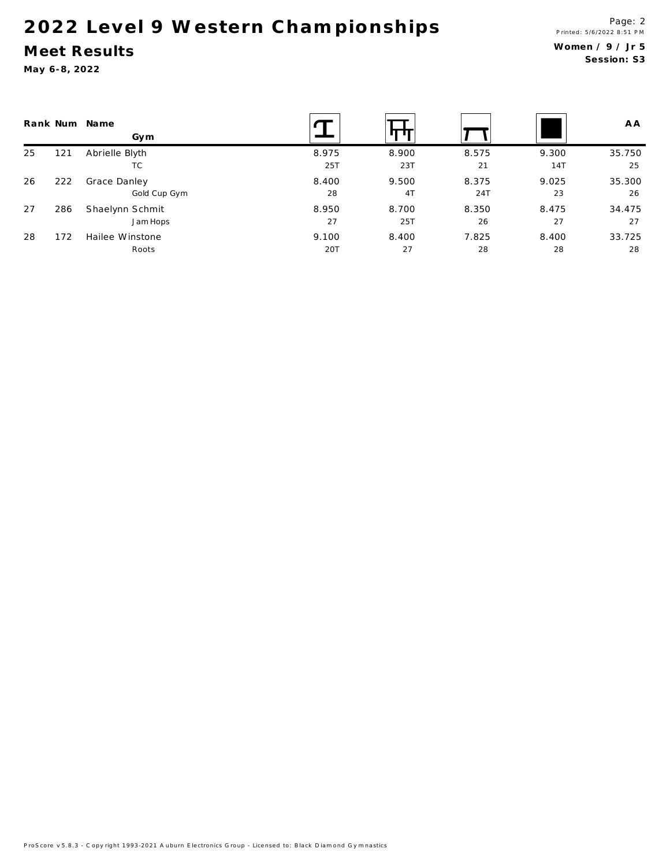#### Meet Results

|    |     | Rank Num Name<br>Gym |       |       |       |       | A A    |
|----|-----|----------------------|-------|-------|-------|-------|--------|
| 25 | 121 | Abrielle Blyth       | 8.975 | 8.900 | 8.575 | 9.300 | 35.750 |
|    |     | TC                   | 25T   | 23T   | 21    | 14T   | 25     |
| 26 | 222 | Grace Danley         | 8.400 | 9.500 | 8.375 | 9.025 | 35.300 |
|    |     | Gold Cup Gym         | 28    | 4T    | 24T   | 23    | 26     |
| 27 | 286 | Shaelynn Schmit      | 8.950 | 8.700 | 8.350 | 8.475 | 34.475 |
|    |     | Jam Hops             | 27    | 25T   | 26    | 27    | 27     |
| 28 | 172 | Hailee Winstone      | 9.100 | 8.400 | 7.825 | 8.400 | 33.725 |
|    |     | Roots                | 20T   | 27    | 28    | 28    | 28     |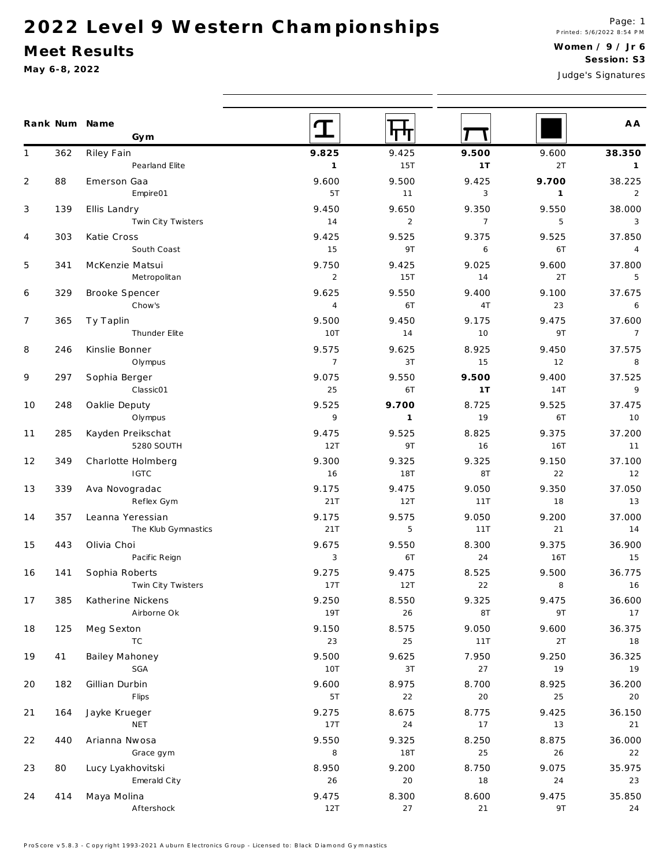## Meet Results

May 6-8, 2022

 $\sim$ 

|                |     | Rank Num Name<br>Gym |                | ΤЧ           |                |              | A A            |
|----------------|-----|----------------------|----------------|--------------|----------------|--------------|----------------|
| $\mathbf{1}$   | 362 | Riley Fain           | 9.825          | 9.425        | 9.500          | 9.600        | 38.350         |
|                |     | Pearland Elite       | $\overline{1}$ | 15T          | 1T             | 2T           | $\overline{1}$ |
| $\overline{2}$ | 88  | Emerson Gaa          | 9.600          | 9.500        | 9.425          | 9.700        | 38.225         |
|                |     | Empire01             | 5T             | 11           | $\mathbf{3}$   | $\mathbf{1}$ | 2              |
| 3              | 139 | Ellis Landry         | 9.450          | 9.650        | 9.350          | 9.550        | 38.000         |
|                |     | Twin City Twisters   | 14             | 2            | $\overline{7}$ | 5            | 3              |
| 4              | 303 | Katie Cross          | 9.425          | 9.525        | 9.375          | 9.525        | 37.850         |
|                |     | South Coast          | 15             | 9T           | 6              | 6T           | $\overline{4}$ |
| 5              | 341 | McKenzie Matsui      | 9.750          | 9.425        | 9.025          | 9.600        | 37.800         |
|                |     | Metropolitan         | $\overline{2}$ | 15T          | 14             | 2T           | 5              |
| 6              | 329 | Brooke Spencer       | 9.625          | 9.550        | 9.400          | 9.100        | 37.675         |
|                |     | Chow's               | $\overline{4}$ | 6T           | 4T             | 23           | 6              |
| $\overline{7}$ | 365 | Ty Taplin            | 9.500          | 9.450        | 9.175          | 9.475        | 37.600         |
|                |     | Thunder Elite        | 10T            | 14           | 10             | 9T           | $\overline{7}$ |
| 8              | 246 | Kinslie Bonner       | 9.575          | 9.625        | 8.925          | 9.450        | 37.575         |
|                |     | Olympus              | $\overline{7}$ | 3T           | 15             | 12           | 8              |
| 9              | 297 | Sophia Berger        | 9.075          | 9.550        | 9.500          | 9.400        | 37.525         |
|                |     | Classic01            | 25             | 6T           | 1T             | <b>14T</b>   | 9              |
| 10             | 248 | Oaklie Deputy        | 9.525          | 9.700        | 8.725          | 9.525        | 37.475         |
|                |     | Olympus              | 9              | $\mathbf{1}$ | 19             | 6T           | 10             |
| 11             | 285 | Kayden Preikschat    | 9.475          | 9.525        | 8.825          | 9.375        | 37.200         |
|                |     | 5280 SOUTH           | 12T            | 9T           | 16             | 16T          | 11             |
| 12             | 349 | Charlotte Holmberg   | 9.300          | 9.325        | 9.325          | 9.150        | 37.100         |
|                |     | <b>IGTC</b>          | 16             | <b>18T</b>   | 8T             | 22           | 12             |
| 13             | 339 | Ava Novogradac       | 9.175          | 9.475        | 9.050          | 9.350        | 37.050         |
|                |     | Reflex Gym           | 21T            | 12T          | 11T            | 18           | 13             |
| 14             | 357 | Leanna Yeressian     | 9.175          | 9.575        | 9.050          | 9.200        | 37.000         |
|                |     | The Klub Gymnastics  | 21T            | 5            | 11T            | 21           | 14             |
| 15             | 443 | Olivia Choi          | 9.675          | 9.550        | 8.300          | 9.375        | 36.900         |
|                |     | Pacific Reign        | $\sqrt{3}$     | 6T           | 24             | 16T          | 15             |
| 16             | 141 | Sophia Roberts       | 9.275          | 9.475        | 8.525          | 9.500        | 36.775         |
|                |     | Twin City Twisters   | 17T            | 12T          | 22             | 8            | 16             |
| 17             | 385 | Katherine Nickens    | 9.250          | 8.550        | 9.325          | 9.475        | 36.600         |
|                |     | Airborne Ok          | <b>19T</b>     | 26           | 8T             | 9T           | 17             |
| 18             | 125 | Meg Sexton           | 9.150          | 8.575        | 9.050          | 9.600        | 36.375         |
|                |     | TC                   | 23             | $2\sqrt{5}$  | 11T            | 2T           | 18             |
| 19             | 41  | Bailey Mahoney       | 9.500          | 9.625        | 7.950          | 9.250        | 36.325         |
|                |     | SGA                  | 10T            | $3T$         | 27             | 19           | 19             |
| 20             | 182 | Gillian Durbin       | 9.600          | 8.975        | 8.700          | 8.925        | 36.200         |
|                |     | Flips                | 5T             | $2\sqrt{2}$  | 20             | $25\,$       | 20             |
| 21             | 164 | Jayke Krueger        | 9.275          | 8.675        | 8.775          | 9.425        | 36.150         |
|                |     | <b>NET</b>           | 17T            | $2\,4$       | 17             | 13           | 21             |
| 22             | 440 | Arianna Nwosa        | 9.550          | 9.325        | 8.250          | 8.875        | 36.000         |
|                |     | Grace gym            | 8              | 18T          | 25             | $26\,$       | 22             |
| 23             | 80  | Lucy Lyakhovitski    | 8.950          | 9.200        | 8.750          | 9.075        | 35.975         |
|                |     | Emerald City         | 26             | 20           | 18             | 24           | 23             |
| 24             | 414 | Maya Molina          | 9.475          | 8.300        | 8.600          | 9.475        | 35.850         |
|                |     | Aftershock           | 12T            | $27\,$       | 21             | 9T           | 24             |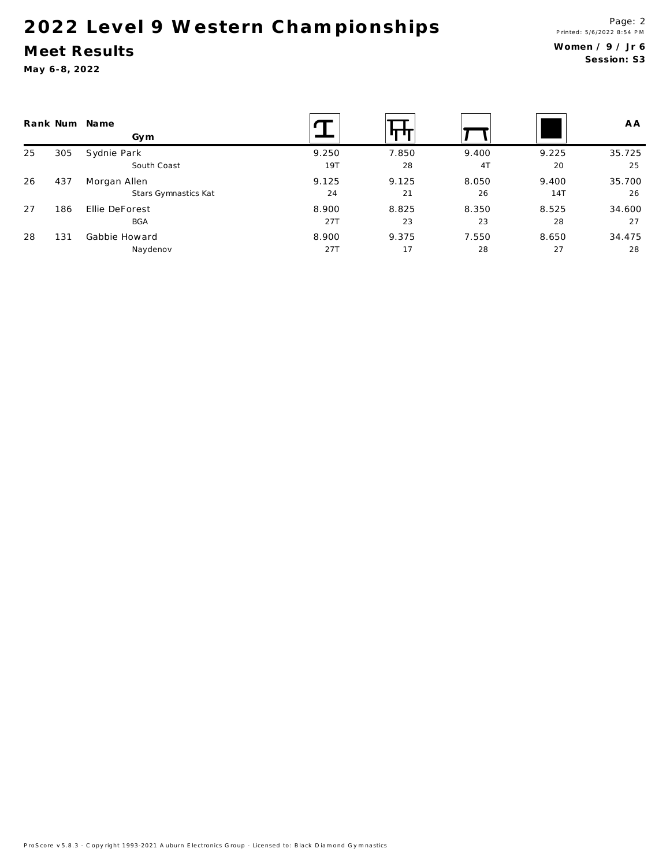#### Meet Results

|    | Rank Num | Name<br>Gym          |       |       |       |       | A A    |
|----|----------|----------------------|-------|-------|-------|-------|--------|
| 25 | 305      | Sydnie Park          | 9.250 | 7.850 | 9.400 | 9.225 | 35.725 |
|    |          | South Coast          | 19T   | 28    | 4T    | 20    | 25     |
| 26 | 437      | Morgan Allen         | 9.125 | 9.125 | 8.050 | 9.400 | 35.700 |
|    |          | Stars Gymnastics Kat | 24    | 21    | 26    | 14T   | 26     |
| 27 | 186      | Ellie DeForest       | 8.900 | 8.825 | 8.350 | 8.525 | 34.600 |
|    |          | BGA                  | 27T   | 23    | 23    | 28    | 27     |
| 28 | 131      | Gabbie Howard        | 8.900 | 9.375 | 7.550 | 8.650 | 34.475 |
|    |          | Naydenov             | 27T   | 17    | 28    | 27    | 28     |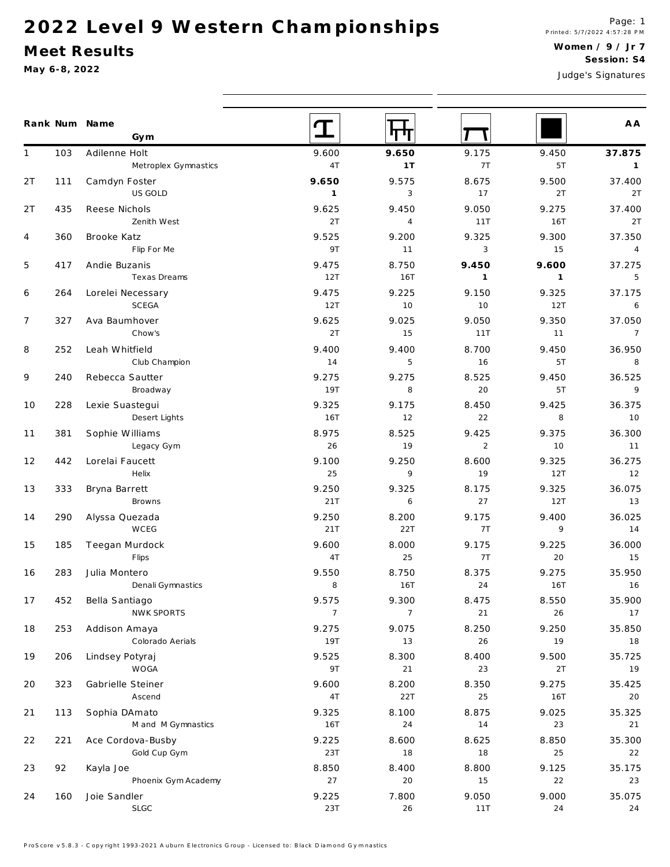## Meet Results

May 6-8, 2022

 $2T$ 

 $12$ 

 $13$ 

15

18

 $21$ 

22

Page: 1 Printed: 5/7/2022 4:57:28 PM Women / 9 / Jr 7 Session: S4 Judge's Signatures

L,

 $\overline{a}$  $\overline{\phantom{a}}$ 

|                |     | Rank Num Name        |                |                |                |              | A A             |
|----------------|-----|----------------------|----------------|----------------|----------------|--------------|-----------------|
|                |     | Gym                  |                |                |                |              |                 |
| $\mathbf{1}$   | 103 | Adilenne Holt        | 9.600          | 9.650          | 9.175          | 9.450        | 37.875          |
|                |     | Metroplex Gymnastics | 4T             | 1T             | 7T             | 5T           | $\overline{1}$  |
| 2T             | 111 | Camdyn Foster        | 9.650          | 9.575          | 8.675          | 9.500        | 37.400          |
|                |     | US GOLD              | $\mathbf{1}$   | 3              | 17             | 2T           | 2T              |
| 2T             | 435 | Reese Nichols        | 9.625          | 9.450          | 9.050          | 9.275        | 37.400          |
|                |     | Zenith West          | 2T             | $\overline{4}$ | 11T            | <b>16T</b>   | 2T              |
| 4              | 360 | Brooke Katz          | 9.525          | 9.200          | 9.325          | 9.300        | 37.350          |
|                |     | Flip For Me          | 9T             | 11             | 3              | 15           | $\overline{4}$  |
| 5              | 417 | Andie Buzanis        | 9.475          | 8.750          | 9.450          | 9.600        | 37.275          |
|                |     | Texas Dreams         | 12T            | <b>16T</b>     | $\mathbf{1}$   | $\mathbf{1}$ | 5               |
| 6              | 264 | Lorelei Necessary    | 9.475          | 9.225          | 9.150          | 9.325        | 37.175          |
|                |     | SCEGA                | 12T            | 10             | 10             | 12T          | $6\overline{6}$ |
| $\overline{7}$ | 327 | Ava Baumhover        | 9.625          | 9.025          | 9.050          | 9.350        | 37.050          |
|                |     | Chow's               | 2T             | 15             | 11T            | 11           | $7\overline{ }$ |
| 8              | 252 | Leah Whitfield       | 9.400          | 9.400          | 8.700          | 9.450        | 36.950          |
|                |     | Club Champion        | 14             | 5              | 16             | 5T           | 8               |
| 9              | 240 | Rebecca Sautter      | 9.275          | 9.275          | 8.525          | 9.450        | 36.525          |
|                |     | Broadway             | 19T            | 8              | 20             | 5T           | $\overline{9}$  |
| 10             | 228 | Lexie Suastegui      | 9.325          | 9.175          | 8.450          | 9.425        | 36.375          |
|                |     | Desert Lights        | 16T            | 12             | 22             | 8            | 10              |
| 11             | 381 | Sophie Williams      | 8.975          | 8.525          | 9.425          | 9.375        | 36.300          |
|                |     | Legacy Gym           | 26             | 19             | $\overline{a}$ | 10           | 11              |
| 12             | 442 | Lorelai Faucett      | 9.100          | 9.250          | 8.600          | 9.325        | 36.275          |
|                |     | Helix                | 25             | 9              | 19             | 12T          | 12              |
| 13             | 333 | Bryna Barrett        | 9.250          | 9.325          | 8.175          | 9.325        | 36.075          |
|                |     | Browns               | 21T            | 6              | 27             | 12T          | 13              |
| 14             | 290 | Alyssa Quezada       | 9.250          | 8.200          | 9.175          | 9.400        | 36.025          |
|                |     | WCEG                 | 21T            | 22T            | 7T             | 9            | 14              |
| 15             | 185 | Teegan Murdock       | 9.600          | 8.000          | 9.175          | 9.225        | 36.000          |
|                |     | Flips                | 4T             | 25             | 7T             | 20           | 15              |
| 16             | 283 | Julia Montero        | 9.550          | 8.750          | 8.375          | 9.275        | 35.950          |
|                |     | Denali Gymnastics    | 8              | <b>16T</b>     | 24             | <b>16T</b>   | 16              |
| 17             | 452 | Bella Santiago       | 9.575          | 9.300          | 8.475          | 8.550        | 35.900          |
|                |     | NWK SPORTS           | $\overline{7}$ | $\overline{7}$ | 21             | 26           | 17              |
| 18             | 253 | Addison Amaya        | 9.275          | 9.075          | 8.250          | 9.250        | 35.850          |
|                |     | Colorado Aerials     | 19T            | 13             | 26             | 19           | $18$            |
| 19             | 206 | Lindsey Potyraj      | 9.525          | 8.300          | 8.400          | 9.500        | 35.725          |
|                |     | WOGA                 | 9T             | 21             | 23             | 2T           | 19              |
| 20             | 323 | Gabrielle Steiner    | 9.600          | 8.200          | 8.350          | 9.275        | 35.425          |
|                |     | Ascend               | 4T             | 22T            | 25             | 16T          | 20              |
| 21             | 113 | Sophia DAmato        | 9.325          | 8.100          | 8.875          | 9.025        | 35.325          |
|                |     | M and M Gymnastics   | 16T            | 24             | 14             | 23           | 21              |
| 22             | 221 | Ace Cordova-Busby    | 9.225          | 8.600          | 8.625          | 8.850        | 35.300          |
|                |     | Gold Cup Gym         | 23T            | 18             | 18             | 25           | 22              |
| 23             | 92  | Kayla Joe            | 8.850          | 8.400          | 8.800          | 9.125        | 35.175          |
|                |     | Phoenix Gym Academy  | 27             | 20             | 15             | 22           | 23              |
| 24             | 160 | Joie Sandler         | 9.225          | 7.800          | 9.050          | 9.000        | 35.075          |

23T

26

 $11T$ 

 $24$ 

 $24$ 

 $\overline{ }$ 

SLGC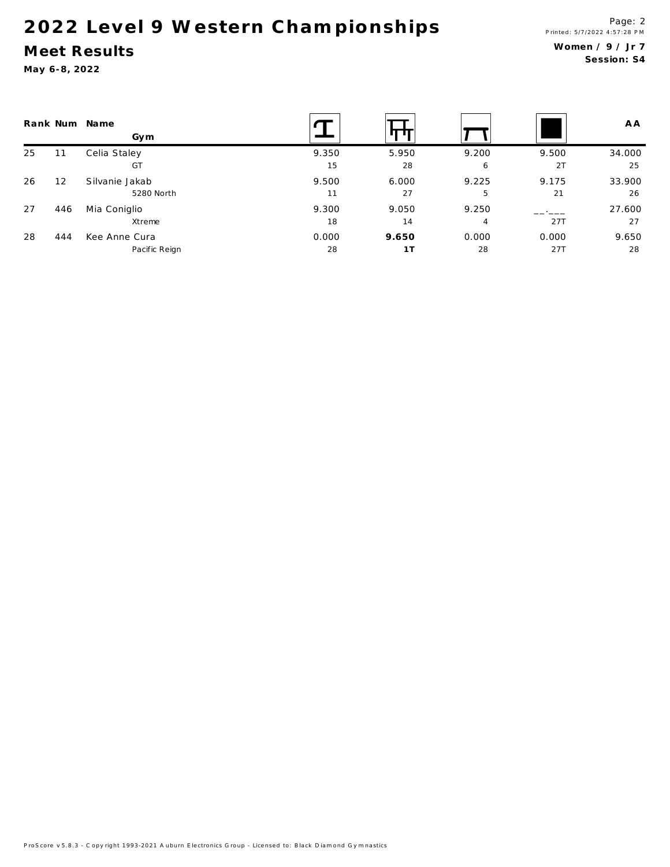#### Meet Results

May 6-8, 2022

|    | Rank Num | Name<br>Gym    |       |       |       |       | A A    |
|----|----------|----------------|-------|-------|-------|-------|--------|
| 25 | 11       | Celia Staley   | 9.350 | 5.950 | 9.200 | 9.500 | 34.000 |
|    |          | GT             | 15    | 28    | 6     | 2T    | 25     |
| 26 | 12       | Silvanie Jakab | 9.500 | 6.000 | 9.225 | 9.175 | 33.900 |
|    |          | 5280 North     | 11    | 27    | 5     | 21    | 26     |
| 27 | 446      | Mia Coniglio   | 9.300 | 9.050 | 9.250 |       | 27.600 |
|    |          | Xtreme         | 18    | 14    | 4     | 27T   | 27     |
| 28 | 444      | Kee Anne Cura  | 0.000 | 9.650 | 0.000 | 0.000 | 9.650  |
|    |          | Pacific Reign  | 28    | 1T    | 28    | 27T   | 28     |

ProScore v 5.8.3 - C opyright 1993-2021 A uburn Electronics Group - Licensed to: Black Diamond Gymnastics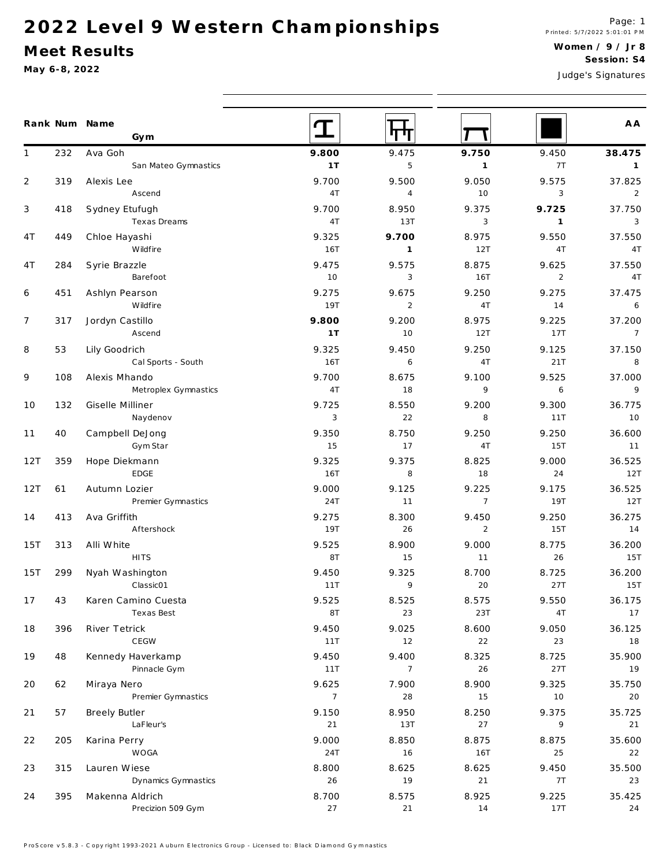#### Meet Results

|                |     | Rank Num Name<br>Gym              |                         |                          |                |                  | A A            |
|----------------|-----|-----------------------------------|-------------------------|--------------------------|----------------|------------------|----------------|
| 1              | 232 | Ava Goh                           | 9.800                   | 9.475                    | 9.750          | 9.450            | 38.475         |
|                |     | San Mateo Gymnastics              | 1T                      | $\sqrt{5}$               | $\mathbf{1}$   | 7T               | $\mathbf{1}$   |
| 2              | 319 | Alexis Lee                        | 9.700                   | 9.500                    | 9.050          | 9.575            | 37.825         |
|                |     | Ascend                            | 4T                      | $\overline{4}$           | 10             | $\mathbf{3}$     | 2              |
| 3              | 418 | Sydney Etufugh                    | 9.700                   | 8.950                    | 9.375          | 9.725            | 37.750         |
|                |     | <b>Texas Dreams</b>               | 4T                      | 13T                      | 3              | $\mathbf{1}$     | 3              |
| 4T             | 449 | Chloe Hayashi                     | 9.325                   | 9.700                    | 8.975          | 9.550            | 37.550         |
|                |     | Wildfire                          | 16T                     | $\mathbf{1}$             | 12T            | 4T               | 4T             |
| 4T             | 284 | Syrie Brazzle                     | 9.475                   | 9.575                    | 8.875          | 9.625            | 37.550         |
|                |     | Barefoot                          | 10                      | 3                        | 16T            | $\overline{2}$   | 4T             |
| 6              | 451 | Ashlyn Pearson                    | 9.275                   | 9.675                    | 9.250          | 9.275            | 37.475         |
|                |     | Wildfire                          | 19T                     | $\overline{2}$           | 4T             | 14               | 6              |
| $\overline{7}$ | 317 | Jordyn Castillo                   | 9.800                   | 9.200                    | 8.975          | 9.225            | 37.200         |
|                |     | Ascend                            | 1T                      | 10                       | 12T            | 17T              | $\overline{7}$ |
| 8              | 53  | Lily Goodrich                     | 9.325                   | 9.450                    | 9.250          | 9.125            | 37.150         |
|                |     | Cal Sports - South                | 16T                     | 6                        | 4T             | 21T              | 8              |
| 9              | 108 | Alexis Mhando                     | 9.700                   | 8.675                    | 9.100          | 9.525            | 37.000         |
|                |     | Metroplex Gymnastics              | 4T                      | 18                       | 9              | $\boldsymbol{6}$ | 9              |
| 10             | 132 | Giselle Milliner                  | 9.725                   | 8.550                    | 9.200          | 9.300            | 36.775         |
|                |     | Naydenov                          | $\mathbf{3}$            | 22                       | 8              | 11T              | 10             |
| 11             | 40  | Campbell DeJong                   | 9.350                   | 8.750                    | 9.250          | 9.250            | 36.600         |
|                |     | Gym Star                          | 15                      | 17                       | 4T             | <b>15T</b>       | 11             |
| 12T            | 359 | Hope Diekmann                     | 9.325                   | 9.375                    | 8.825          | 9.000            | 36.525         |
|                |     | EDGE                              | <b>16T</b>              | 8                        | 18             | 24               | 12T            |
| 12T            | 61  | Autumn Lozier                     | 9.000                   | 9.125                    | 9.225          | 9.175            | 36.525         |
|                |     | Premier Gymnastics                | 24T                     | 11                       | $\overline{7}$ | 19T              | 12T            |
| 14             | 413 | Ava Griffith                      | 9.275                   | 8.300                    | 9.450          | 9.250            | 36.275         |
|                |     | Aftershock                        | <b>19T</b>              | 26                       | $\overline{2}$ | <b>15T</b>       | 14             |
| 15T            | 313 | Alli White                        | 9.525                   | 8.900                    | 9.000          | 8.775            | 36.200         |
|                |     | <b>HITS</b>                       | 8T                      | 15                       | 11             | 26               | 15T            |
| 15T            | 299 | Nyah Washington                   | 9.450                   | 9.325                    | 8.700          | 8.725            | 36.200         |
|                |     | Classic01                         | 11T                     | 9                        | 20             | 27T              | 15T            |
| 17             |     | Karen Camino Cuesta               | 9.525                   | 8.525                    | 8.575          | 9.550            | 36.175         |
|                | 43  | Texas Best                        | 8T                      | 23                       | 23T            | 4T               | 17             |
|                |     | River Tetrick                     |                         |                          | 8.600          |                  | 36.125         |
| 18             | 396 | CEGW                              | 9.450<br>11T            | 9.025<br>12              | 22             | 9.050<br>23      | 18             |
|                |     |                                   |                         |                          |                |                  |                |
| 19             | 48  | Kennedy Haverkamp<br>Pinnacle Gym | 9.450<br>11T            | 9.400<br>$7\overline{ }$ | 8.325<br>26    | 8.725<br>27T     | 35.900<br>19   |
|                |     |                                   |                         |                          |                |                  |                |
| 20             | 62  | Miraya Nero                       | 9.625<br>$\overline{7}$ | 7.900                    | 8.900          | 9.325            | 35.750         |
|                |     | Premier Gymnastics                |                         | 28                       | 15             | 10               | 20             |
| 21             | 57  | <b>Breely Butler</b><br>LaFleur's | 9.150                   | 8.950<br>13T             | 8.250<br>27    | 9.375            | 35.725         |
|                |     |                                   | 21                      |                          |                | 9                | 21             |
| 22             | 205 | Karina Perry                      | 9.000                   | 8.850                    | 8.875          | 8.875            | 35.600         |
|                |     | WOGA                              | 24T                     | 16                       | 16T            | 25               | 22             |
| 23             | 315 | Lauren Wiese                      | 8.800                   | 8.625                    | 8.625          | 9.450            | 35.500         |
|                |     | Dynamics Gymnastics               | 26                      | 19                       | 21             | 7T               | 23             |
| 24             | 395 | Makenna Aldrich                   | 8.700                   | 8.575                    | 8.925          | 9.225            | 35.425         |
|                |     | Precizion 509 Gym                 | 27                      | 21                       | 14             | 17T              | 24             |